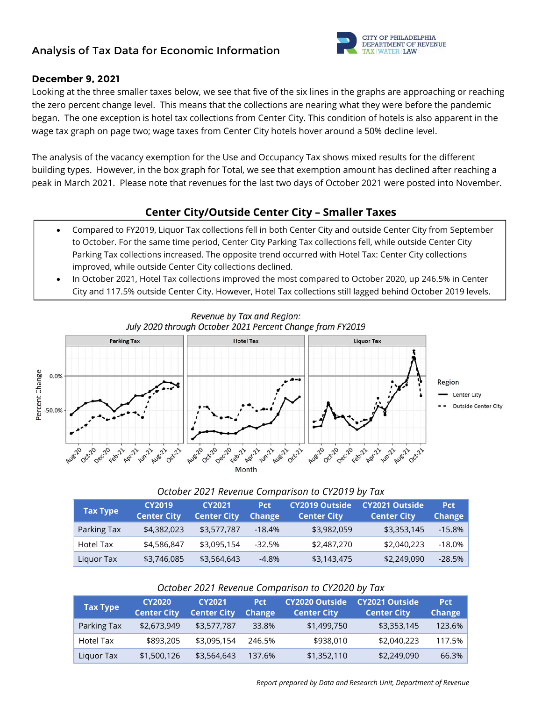# **Analysis of Tax Data for Economic Information**



### **December 9, 2021**

Looking at the three smaller taxes below, we see that five of the six lines in the graphs are approaching or reaching the zero percent change level. This means that the collections are nearing what they were before the pandemic began. The one exception is hotel tax collections from Center City. This condition of hotels is also apparent in the wage tax graph on page two; wage taxes from Center City hotels hover around a 50% decline level.

The analysis of the vacancy exemption for the Use and Occupancy Tax shows mixed results for the different building types. However, in the box graph for Total, we see that exemption amount has declined after reaching a peak in March 2021. Please note that revenues for the last two days of October 2021 were posted into November.

## **Center City/Outside Center City – Smaller Taxes**

- Compared to FY2019, Liquor Tax collections fell in both Center City and outside Center City from September to October. For the same time period, Center City Parking Tax collections fell, while outside Center City Parking Tax collections increased. The opposite trend occurred with Hotel Tax: Center City collections improved, while outside Center City collections declined.
- In October 2021, Hotel Tax collections improved the most compared to October 2020, up 246.5% in Center City and 117.5% outside Center City. However, Hotel Tax collections still lagged behind October 2019 levels.



Revenue by Tax and Region: July 2020 through October 2021 Percent Change from FY2019

#### *October 2021 Revenue Comparison to CY2019 by Tax*

| <b>Tax Type</b> | <b>CY2019</b><br><b>Center City</b> | <b>CY2021</b><br><b>Center City</b> | <b>Pct</b><br><b>Change</b> | <b>CY2019 Outside</b><br><b>Center City</b> | CY2021 Outside<br><b>Center City</b> | <b>Pct</b><br><b>Change</b> |
|-----------------|-------------------------------------|-------------------------------------|-----------------------------|---------------------------------------------|--------------------------------------|-----------------------------|
| Parking Tax     | \$4,382,023                         | \$3,577,787                         | $-18.4%$                    | \$3,982,059                                 | \$3,353,145                          | $-15.8%$                    |
| Hotel Tax       | \$4,586,847                         | \$3,095,154                         | $-32.5%$                    | \$2,487,270                                 | \$2,040,223                          | $-18.0\%$                   |
| Liquor Tax      | \$3,746,085                         | \$3,564,643                         | $-4.8\%$                    | \$3,143,475                                 | \$2,249,090                          | $-28.5%$                    |

#### *October 2021 Revenue Comparison to CY2020 by Tax*

| <b>Tax Type</b> | <b>CY2020</b><br><b>Center City</b> | <b>CY2021</b><br><b>Center City</b> | <b>Pct</b><br><b>Change</b> | <b>CY2020 Outside</b><br><b>Center City</b> | <b>CY2021 Outside</b><br><b>Center City</b> | <b>Pct</b><br><b>Change</b> |
|-----------------|-------------------------------------|-------------------------------------|-----------------------------|---------------------------------------------|---------------------------------------------|-----------------------------|
| Parking Tax     | \$2,673,949                         | \$3,577,787                         | 33.8%                       | \$1,499,750                                 | \$3,353,145                                 | 123.6%                      |
| Hotel Tax       | \$893,205                           | \$3,095,154                         | 246.5%                      | \$938,010                                   | \$2,040,223                                 | 117.5%                      |
| Liguor Tax      | \$1,500,126                         | \$3,564,643                         | 137.6%                      | \$1,352,110                                 | \$2,249,090                                 | 66.3%                       |

 *Report prepared by Data and Research Unit, Department of Revenue*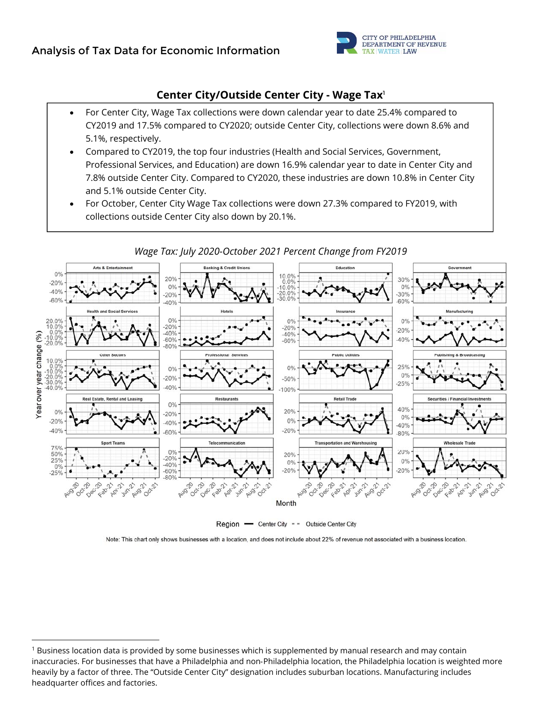

## **Center City/Outside Center City - Wage Tax**<sup>1</sup>

- For Center City, Wage Tax collections were down calendar year to date 25.4% compared to CY2019 and 17.5% compared to CY2020; outside Center City, collections were down 8.6% and 5.1%, respectively.
- Compared to CY2019, the top four industries (Health and Social Services, Government, Professional Services, and Education) are down 16.9% calendar year to date in Center City and 7.8% outside Center City. Compared to CY2020, these industries are down 10.8% in Center City and 5.1% outside Center City.
- For October, Center City Wage Tax collections were down 27.3% compared to FY2019, with collections outside Center City also down by 20.1%.



*Wage Tax: July 2020-October 2021 Percent Change from FY2019* 

Region - Center City - - Outside Center City

Note: This chart only shows businesses with a location, and does not include about 22% of revenue not associated with a business location.

<sup>&</sup>lt;sup>1</sup> Business location data is provided by some businesses which is supplemented by manual research and may contain inaccuracies. For businesses that have a Philadelphia and non-Philadelphia location, the Philadelphia location is weighted more heavily by a factor of three. The "Outside Center City" designation includes suburban locations. Manufacturing includes headquarter offices and factories.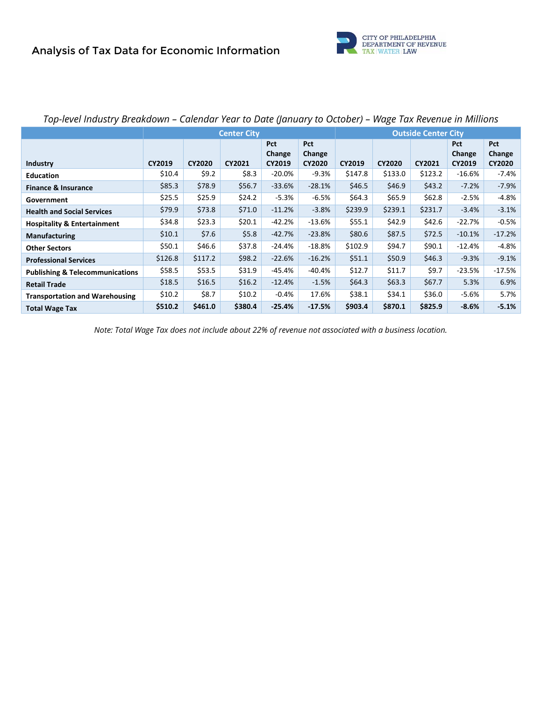

|                                            | <b>Center City</b> |               |               |                      | <b>Outside Center City</b> |         |               |          |                      |               |
|--------------------------------------------|--------------------|---------------|---------------|----------------------|----------------------------|---------|---------------|----------|----------------------|---------------|
|                                            |                    |               |               | <b>Pct</b><br>Change | <b>Pct</b><br>Change       |         |               |          | <b>Pct</b><br>Change | Pct<br>Change |
| <b>Industry</b>                            | CY2019             | <b>CY2020</b> | <b>CY2021</b> | CY2019               | <b>CY2020</b>              | CY2019  | <b>CY2020</b> | CY2021   | CY2019               | <b>CY2020</b> |
| <b>Education</b>                           | \$10.4             | \$9.2         | \$8.3         | $-20.0\%$            | $-9.3%$                    | \$147.8 | \$133.0       | \$123.2  | $-16.6\%$            | $-7.4\%$      |
| <b>Finance &amp; Insurance</b>             | \$85.3             | \$78.9        | \$56.7        | $-33.6%$             | $-28.1%$                   | \$46.5  | \$46.9        | \$43.2\$ | $-7.2%$              | $-7.9%$       |
| Government                                 | \$25.5             | \$25.9        | \$24.2        | $-5.3%$              | $-6.5%$                    | \$64.3  | \$65.9        | \$62.8\$ | $-2.5%$              | $-4.8%$       |
| <b>Health and Social Services</b>          | \$79.9             | \$73.8        | \$71.0        | $-11.2%$             | $-3.8%$                    | \$239.9 | \$239.1       | \$231.7  | $-3.4%$              | $-3.1%$       |
| <b>Hospitality &amp; Entertainment</b>     | \$34.8             | \$23.3        | \$20.1        | $-42.2%$             | $-13.6%$                   | \$55.1  | \$42.9        | \$42.6   | $-22.7%$             | $-0.5%$       |
| Manufacturing                              | \$10.1             | \$7.6         | \$5.8\$       | $-42.7%$             | $-23.8%$                   | \$80.6  | \$87.5        | \$72.5   | $-10.1%$             | $-17.2%$      |
| <b>Other Sectors</b>                       | \$50.1             | \$46.6        | \$37.8        | $-24.4%$             | $-18.8%$                   | \$102.9 | \$94.7        | \$90.1   | $-12.4%$             | $-4.8%$       |
| <b>Professional Services</b>               | \$126.8            | \$117.2       | \$98.2        | $-22.6%$             | $-16.2%$                   | \$51.1  | \$50.9        | \$46.3   | $-9.3%$              | $-9.1%$       |
| <b>Publishing &amp; Telecommunications</b> | \$58.5             | \$53.5        | \$31.9        | -45.4%               | $-40.4%$                   | \$12.7  | \$11.7        | \$9.7    | $-23.5%$             | $-17.5%$      |
| <b>Retail Trade</b>                        | \$18.5             | \$16.5        | \$16.2\$      | $-12.4%$             | $-1.5%$                    | \$64.3  | \$63.3\$      | \$67.7   | 5.3%                 | 6.9%          |
| <b>Transportation and Warehousing</b>      | \$10.2\$           | \$8.7         | \$10.2        | $-0.4%$              | 17.6%                      | \$38.1  | \$34.1        | \$36.0   | -5.6%                | 5.7%          |
| <b>Total Wage Tax</b>                      | \$510.2            | \$461.0       | \$380.4       | $-25.4%$             | $-17.5%$                   | \$903.4 | \$870.1       | \$825.9  | $-8.6%$              | $-5.1%$       |

# *Top-level Industry Breakdown – Calendar Year to Date (January to October) – Wage Tax Revenue in Millions*

*Note: Total Wage Tax does not include about 22% of revenue not associated with a business location.*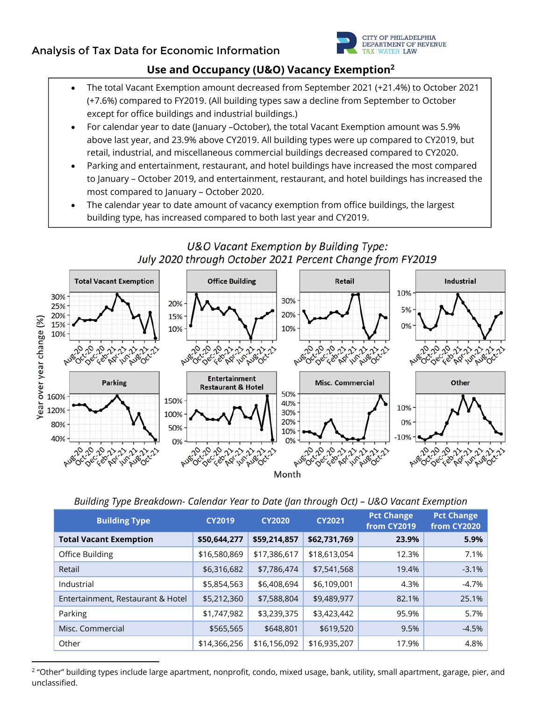

# **Use and Occupancy (U&O) Vacancy Exemption2**

- The total Vacant Exemption amount decreased from September 2021 (+21.4%) to October 2021 (+7.6%) compared to FY2019. (All building types saw a decline from September to October except for office buildings and industrial buildings.)
- For calendar year to date (January –October), the total Vacant Exemption amount was 5.9% above last year, and 23.9% above CY2019. All building types were up compared to CY2019, but retail, industrial, and miscellaneous commercial buildings decreased compared to CY2020.
- Parking and entertainment, restaurant, and hotel buildings have increased the most compared to January – October 2019, and entertainment, restaurant, and hotel buildings has increased the most compared to January – October 2020.
- The calendar year to date amount of vacancy exemption from office buildings, the largest building type, has increased compared to both last year and CY2019.



| <b>Building Type</b>              | <b>CY2019</b> | <b>CY2020</b> | <b>CY2021</b> | <b>Pct Change</b><br>from CY2019 | <b>Pct Change</b><br>from CY2020 |
|-----------------------------------|---------------|---------------|---------------|----------------------------------|----------------------------------|
| <b>Total Vacant Exemption</b>     | \$50,644,277  | \$59,214,857  | \$62,731,769  | 23.9%                            | 5.9%                             |
| Office Building                   | \$16,580,869  | \$17,386,617  | \$18,613,054  | 12.3%                            | 7.1%                             |
| Retail                            | \$6,316,682   | \$7,786,474   | \$7,541,568   | 19.4%                            | $-3.1%$                          |
| Industrial                        | \$5,854,563   | \$6,408,694   | \$6,109,001   | 4.3%                             | $-4.7%$                          |
| Entertainment, Restaurant & Hotel | \$5,212,360   | \$7,588,804   | \$9,489,977   | 82.1%                            | 25.1%                            |
| Parking                           | \$1,747,982   | \$3,239,375   | \$3,423,442   | 95.9%                            | 5.7%                             |
| Misc. Commercial                  | \$565,565     | \$648,801     | \$619,520     | 9.5%                             | $-4.5%$                          |
| Other                             | \$14,366,256  | \$16,156,092  | \$16,935,207  | 17.9%                            | 4.8%                             |

<sup>2</sup> "Other" building types include large apartment, nonprofit, condo, mixed usage, bank, utility, small apartment, garage, pier, and unclassified.